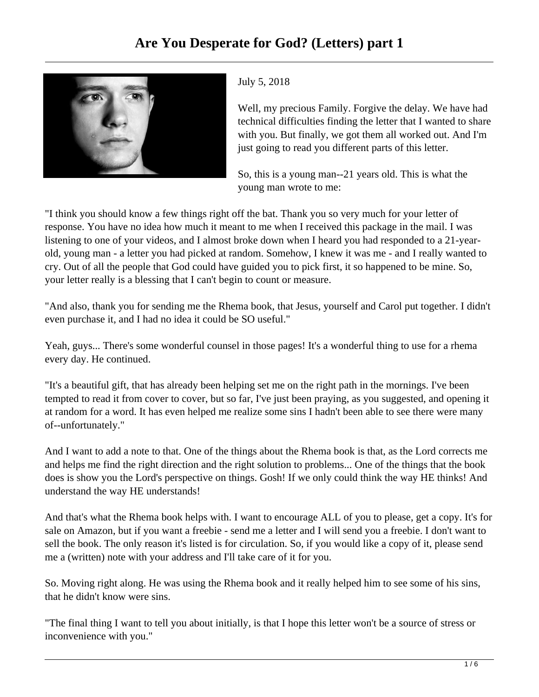

## July 5, 2018

Well, my precious Family. Forgive the delay. We have had technical difficulties finding the letter that I wanted to share with you. But finally, we got them all worked out. And I'm just going to read you different parts of this letter.

So, this is a young man--21 years old. This is what the young man wrote to me:

"I think you should know a few things right off the bat. Thank you so very much for your letter of response. You have no idea how much it meant to me when I received this package in the mail. I was listening to one of your videos, and I almost broke down when I heard you had responded to a 21-yearold, young man - a letter you had picked at random. Somehow, I knew it was me - and I really wanted to cry. Out of all the people that God could have guided you to pick first, it so happened to be mine. So, your letter really is a blessing that I can't begin to count or measure.

"And also, thank you for sending me the Rhema book, that Jesus, yourself and Carol put together. I didn't even purchase it, and I had no idea it could be SO useful."

Yeah, guys... There's some wonderful counsel in those pages! It's a wonderful thing to use for a rhema every day. He continued.

"It's a beautiful gift, that has already been helping set me on the right path in the mornings. I've been tempted to read it from cover to cover, but so far, I've just been praying, as you suggested, and opening it at random for a word. It has even helped me realize some sins I hadn't been able to see there were many of--unfortunately."

And I want to add a note to that. One of the things about the Rhema book is that, as the Lord corrects me and helps me find the right direction and the right solution to problems... One of the things that the book does is show you the Lord's perspective on things. Gosh! If we only could think the way HE thinks! And understand the way HE understands!

And that's what the Rhema book helps with. I want to encourage ALL of you to please, get a copy. It's for sale on Amazon, but if you want a freebie - send me a letter and I will send you a freebie. I don't want to sell the book. The only reason it's listed is for circulation. So, if you would like a copy of it, please send me a (written) note with your address and I'll take care of it for you.

So. Moving right along. He was using the Rhema book and it really helped him to see some of his sins, that he didn't know were sins.

"The final thing I want to tell you about initially, is that I hope this letter won't be a source of stress or inconvenience with you."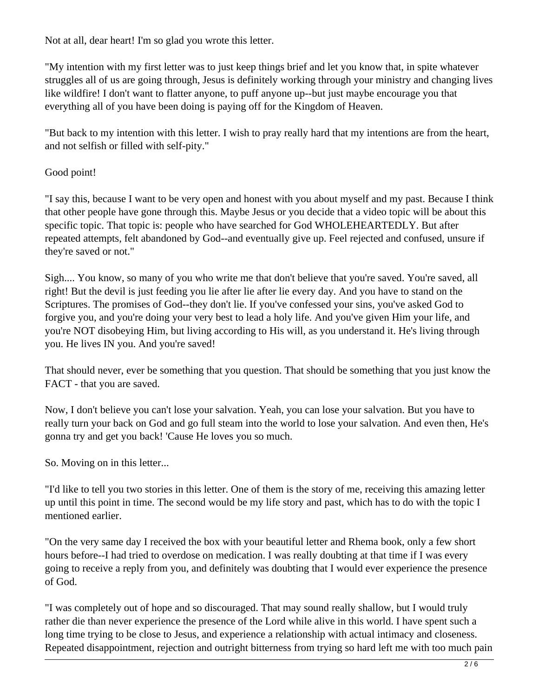Not at all, dear heart! I'm so glad you wrote this letter.

"My intention with my first letter was to just keep things brief and let you know that, in spite whatever struggles all of us are going through, Jesus is definitely working through your ministry and changing lives like wildfire! I don't want to flatter anyone, to puff anyone up--but just maybe encourage you that everything all of you have been doing is paying off for the Kingdom of Heaven.

"But back to my intention with this letter. I wish to pray really hard that my intentions are from the heart, and not selfish or filled with self-pity."

## Good point!

"I say this, because I want to be very open and honest with you about myself and my past. Because I think that other people have gone through this. Maybe Jesus or you decide that a video topic will be about this specific topic. That topic is: people who have searched for God WHOLEHEARTEDLY. But after repeated attempts, felt abandoned by God--and eventually give up. Feel rejected and confused, unsure if they're saved or not."

Sigh.... You know, so many of you who write me that don't believe that you're saved. You're saved, all right! But the devil is just feeding you lie after lie after lie every day. And you have to stand on the Scriptures. The promises of God--they don't lie. If you've confessed your sins, you've asked God to forgive you, and you're doing your very best to lead a holy life. And you've given Him your life, and you're NOT disobeying Him, but living according to His will, as you understand it. He's living through you. He lives IN you. And you're saved!

That should never, ever be something that you question. That should be something that you just know the FACT - that you are saved.

Now, I don't believe you can't lose your salvation. Yeah, you can lose your salvation. But you have to really turn your back on God and go full steam into the world to lose your salvation. And even then, He's gonna try and get you back! 'Cause He loves you so much.

So. Moving on in this letter...

"I'd like to tell you two stories in this letter. One of them is the story of me, receiving this amazing letter up until this point in time. The second would be my life story and past, which has to do with the topic I mentioned earlier.

"On the very same day I received the box with your beautiful letter and Rhema book, only a few short hours before--I had tried to overdose on medication. I was really doubting at that time if I was every going to receive a reply from you, and definitely was doubting that I would ever experience the presence of God.

"I was completely out of hope and so discouraged. That may sound really shallow, but I would truly rather die than never experience the presence of the Lord while alive in this world. I have spent such a long time trying to be close to Jesus, and experience a relationship with actual intimacy and closeness. Repeated disappointment, rejection and outright bitterness from trying so hard left me with too much pain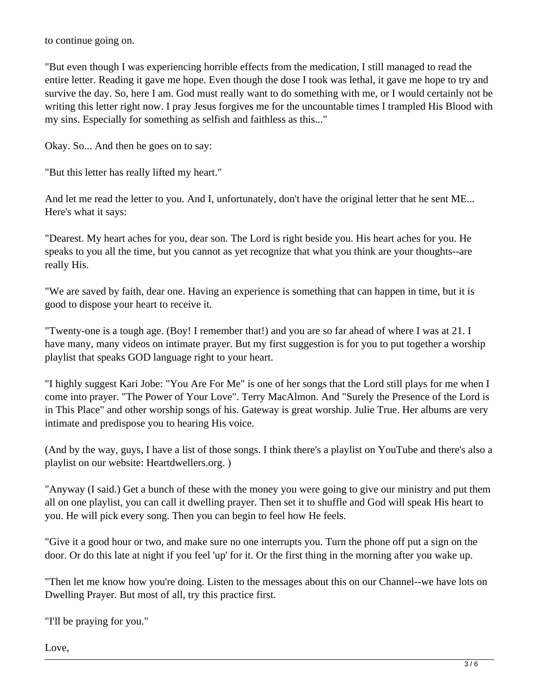to continue going on.

"But even though I was experiencing horrible effects from the medication, I still managed to read the entire letter. Reading it gave me hope. Even though the dose I took was lethal, it gave me hope to try and survive the day. So, here I am. God must really want to do something with me, or I would certainly not be writing this letter right now. I pray Jesus forgives me for the uncountable times I trampled His Blood with my sins. Especially for something as selfish and faithless as this..."

Okay. So... And then he goes on to say:

"But this letter has really lifted my heart."

And let me read the letter to you. And I, unfortunately, don't have the original letter that he sent ME... Here's what it says:

"Dearest. My heart aches for you, dear son. The Lord is right beside you. His heart aches for you. He speaks to you all the time, but you cannot as yet recognize that what you think are your thoughts--are really His.

"We are saved by faith, dear one. Having an experience is something that can happen in time, but it is good to dispose your heart to receive it.

"Twenty-one is a tough age. (Boy! I remember that!) and you are so far ahead of where I was at 21. I have many, many videos on intimate prayer. But my first suggestion is for you to put together a worship playlist that speaks GOD language right to your heart.

"I highly suggest Kari Jobe: "You Are For Me" is one of her songs that the Lord still plays for me when I come into prayer. "The Power of Your Love". Terry MacAlmon. And "Surely the Presence of the Lord is in This Place" and other worship songs of his. Gateway is great worship. Julie True. Her albums are very intimate and predispose you to hearing His voice.

(And by the way, guys, I have a list of those songs. I think there's a playlist on YouTube and there's also a playlist on our website: Heartdwellers.org. )

"Anyway (I said.) Get a bunch of these with the money you were going to give our ministry and put them all on one playlist, you can call it dwelling prayer. Then set it to shuffle and God will speak His heart to you. He will pick every song. Then you can begin to feel how He feels.

"Give it a good hour or two, and make sure no one interrupts you. Turn the phone off put a sign on the door. Or do this late at night if you feel 'up' for it. Or the first thing in the morning after you wake up.

"Then let me know how you're doing. Listen to the messages about this on our Channel--we have lots on Dwelling Prayer. But most of all, try this practice first.

"I'll be praying for you."

Love,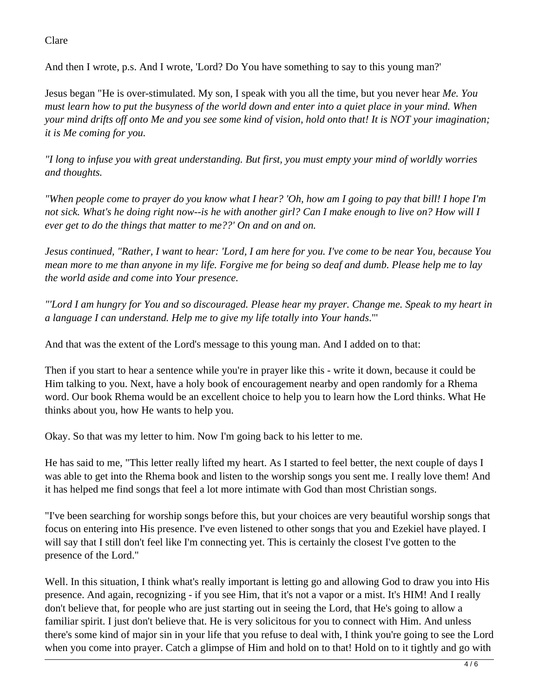## Clare

And then I wrote, p.s. And I wrote, 'Lord? Do You have something to say to this young man?'

Jesus began "He is over-stimulated. My son, I speak with you all the time, but you never hear *Me. You must learn how to put the busyness of the world down and enter into a quiet place in your mind. When your mind drifts off onto Me and you see some kind of vision, hold onto that! It is NOT your imagination; it is Me coming for you.*

*"I long to infuse you with great understanding. But first, you must empty your mind of worldly worries and thoughts.* 

*"When people come to prayer do you know what I hear? 'Oh, how am I going to pay that bill! I hope I'm not sick. What's he doing right now--is he with another girl? Can I make enough to live on? How will I ever get to do the things that matter to me??' On and on and on.*

*Jesus continued, "Rather, I want to hear: 'Lord, I am here for you. I've come to be near You, because You mean more to me than anyone in my life. Forgive me for being so deaf and dumb. Please help me to lay the world aside and come into Your presence.* 

*"'Lord I am hungry for You and so discouraged. Please hear my prayer. Change me. Speak to my heart in a language I can understand. Help me to give my life totally into Your hands*."'

And that was the extent of the Lord's message to this young man. And I added on to that:

Then if you start to hear a sentence while you're in prayer like this - write it down, because it could be Him talking to you. Next, have a holy book of encouragement nearby and open randomly for a Rhema word. Our book Rhema would be an excellent choice to help you to learn how the Lord thinks. What He thinks about you, how He wants to help you.

Okay. So that was my letter to him. Now I'm going back to his letter to me.

He has said to me, "This letter really lifted my heart. As I started to feel better, the next couple of days I was able to get into the Rhema book and listen to the worship songs you sent me. I really love them! And it has helped me find songs that feel a lot more intimate with God than most Christian songs.

"I've been searching for worship songs before this, but your choices are very beautiful worship songs that focus on entering into His presence. I've even listened to other songs that you and Ezekiel have played. I will say that I still don't feel like I'm connecting yet. This is certainly the closest I've gotten to the presence of the Lord."

Well. In this situation, I think what's really important is letting go and allowing God to draw you into His presence. And again, recognizing - if you see Him, that it's not a vapor or a mist. It's HIM! And I really don't believe that, for people who are just starting out in seeing the Lord, that He's going to allow a familiar spirit. I just don't believe that. He is very solicitous for you to connect with Him. And unless there's some kind of major sin in your life that you refuse to deal with, I think you're going to see the Lord when you come into prayer. Catch a glimpse of Him and hold on to that! Hold on to it tightly and go with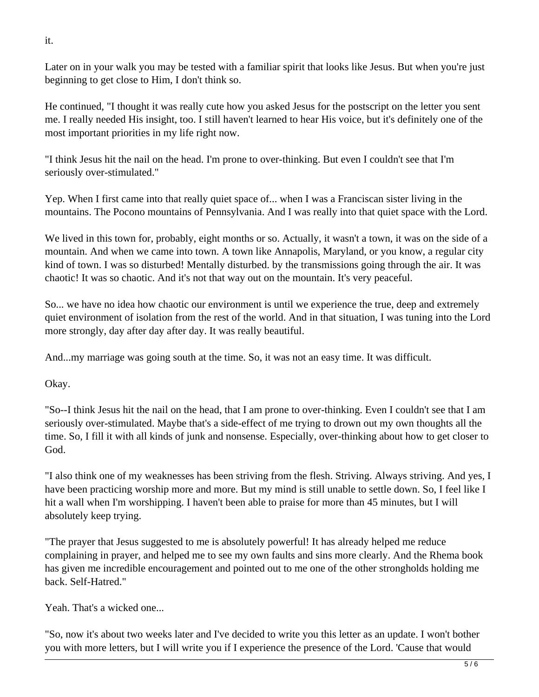Later on in your walk you may be tested with a familiar spirit that looks like Jesus. But when you're just beginning to get close to Him, I don't think so.

He continued, "I thought it was really cute how you asked Jesus for the postscript on the letter you sent me. I really needed His insight, too. I still haven't learned to hear His voice, but it's definitely one of the most important priorities in my life right now.

"I think Jesus hit the nail on the head. I'm prone to over-thinking. But even I couldn't see that I'm seriously over-stimulated."

Yep. When I first came into that really quiet space of... when I was a Franciscan sister living in the mountains. The Pocono mountains of Pennsylvania. And I was really into that quiet space with the Lord.

We lived in this town for, probably, eight months or so. Actually, it wasn't a town, it was on the side of a mountain. And when we came into town. A town like Annapolis, Maryland, or you know, a regular city kind of town. I was so disturbed! Mentally disturbed. by the transmissions going through the air. It was chaotic! It was so chaotic. And it's not that way out on the mountain. It's very peaceful.

So... we have no idea how chaotic our environment is until we experience the true, deep and extremely quiet environment of isolation from the rest of the world. And in that situation, I was tuning into the Lord more strongly, day after day after day. It was really beautiful.

And...my marriage was going south at the time. So, it was not an easy time. It was difficult.

Okay.

"So--I think Jesus hit the nail on the head, that I am prone to over-thinking. Even I couldn't see that I am seriously over-stimulated. Maybe that's a side-effect of me trying to drown out my own thoughts all the time. So, I fill it with all kinds of junk and nonsense. Especially, over-thinking about how to get closer to God.

"I also think one of my weaknesses has been striving from the flesh. Striving. Always striving. And yes, I have been practicing worship more and more. But my mind is still unable to settle down. So, I feel like I hit a wall when I'm worshipping. I haven't been able to praise for more than 45 minutes, but I will absolutely keep trying.

"The prayer that Jesus suggested to me is absolutely powerful! It has already helped me reduce complaining in prayer, and helped me to see my own faults and sins more clearly. And the Rhema book has given me incredible encouragement and pointed out to me one of the other strongholds holding me back. Self-Hatred."

Yeah. That's a wicked one...

"So, now it's about two weeks later and I've decided to write you this letter as an update. I won't bother you with more letters, but I will write you if I experience the presence of the Lord. 'Cause that would